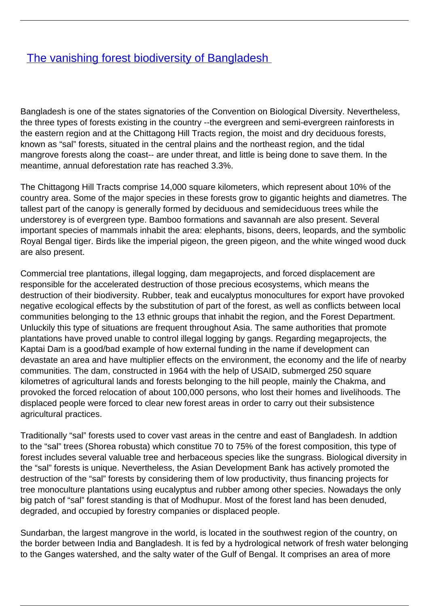## **[The vanishing forest biodiversity of Bangladesh](/bulletin-articles/the-vanishing-forest-biodiversity-of-bangladesh)**

Bangladesh is one of the states signatories of the Convention on Biological Diversity. Nevertheless, the three types of forests existing in the country --the evergreen and semi-evergreen rainforests in the eastern region and at the Chittagong Hill Tracts region, the moist and dry deciduous forests, known as "sal" forests, situated in the central plains and the northeast region, and the tidal mangrove forests along the coast-- are under threat, and little is being done to save them. In the meantime, annual deforestation rate has reached 3.3%.

The Chittagong Hill Tracts comprise 14,000 square kilometers, which represent about 10% of the country area. Some of the major species in these forests grow to gigantic heights and diametres. The tallest part of the canopy is generally formed by deciduous and semideciduous trees while the understorey is of evergreen type. Bamboo formations and savannah are also present. Several important species of mammals inhabit the area: elephants, bisons, deers, leopards, and the symbolic Royal Bengal tiger. Birds like the imperial pigeon, the green pigeon, and the white winged wood duck are also present.

Commercial tree plantations, illegal logging, dam megaprojects, and forced displacement are responsible for the accelerated destruction of those precious ecosystems, which means the destruction of their biodiversity. Rubber, teak and eucalyptus monocultures for export have provoked negative ecological effects by the substitution of part of the forest, as well as conflicts between local communities belonging to the 13 ethnic groups that inhabit the region, and the Forest Department. Unluckily this type of situations are frequent throughout Asia. The same authorities that promote plantations have proved unable to control illegal logging by gangs. Regarding megaprojects, the Kaptai Dam is a good/bad example of how external funding in the name if development can devastate an area and have multiplier effects on the environment, the economy and the life of nearby communities. The dam, constructed in 1964 with the help of USAID, submerged 250 square kilometres of agricultural lands and forests belonging to the hill people, mainly the Chakma, and provoked the forced relocation of about 100,000 persons, who lost their homes and livelihoods. The displaced people were forced to clear new forest areas in order to carry out their subsistence agricultural practices.

Traditionally "sal" forests used to cover vast areas in the centre and east of Bangladesh. In addtion to the "sal" trees (Shorea robusta) which constitue 70 to 75% of the forest composition, this type of forest includes several valuable tree and herbaceous species like the sungrass. Biological diversity in the "sal" forests is unique. Nevertheless, the Asian Development Bank has actively promoted the destruction of the "sal" forests by considering them of low productivity, thus financing projects for tree monoculture plantations using eucalyptus and rubber among other species. Nowadays the only big patch of "sal" forest standing is that of Modhupur. Most of the forest land has been denuded, degraded, and occupied by forestry companies or displaced people.

Sundarban, the largest mangrove in the world, is located in the southwest region of the country, on the border between India and Bangladesh. It is fed by a hydrological network of fresh water belonging to the Ganges watershed, and the salty water of the Gulf of Bengal. It comprises an area of more